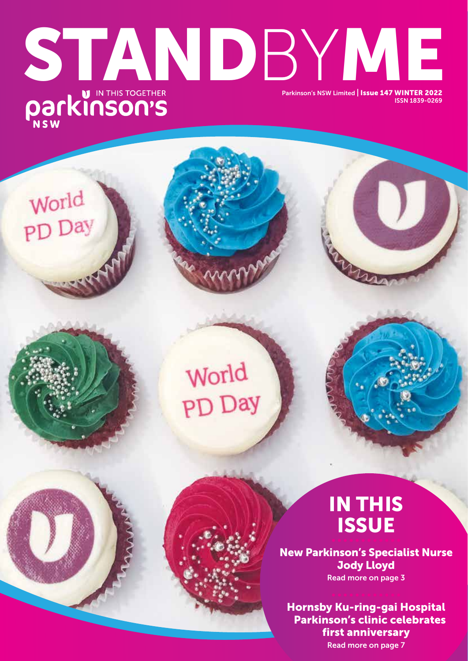# STANDBY HE REAL PARKINSON'S NSW Limited | ISSUE 147 WINTER 2022 ISSN 1839-0269

World

PD Day

World PD Day

## IN THIS **ISSUE**

New Parkinson's Specialist Nurse Jody Lloyd Read more on page 3

Hornsby Ku-ring-gai Hospital Parkinson's clinic celebrates first anniversary Read more on page 7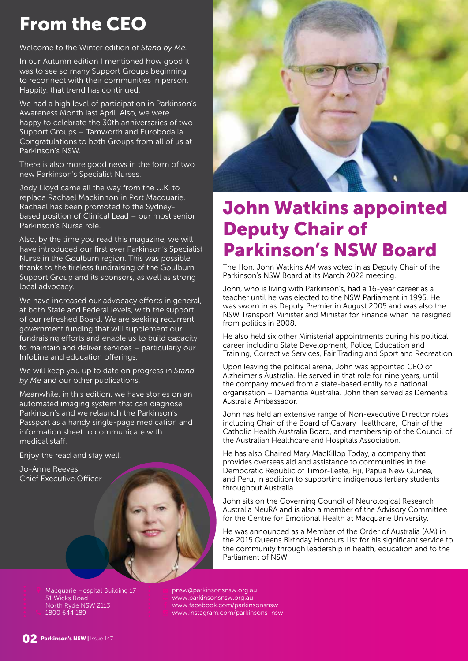## From the CEO

Welcome to the Winter edition of *Stand by Me.*

In our Autumn edition I mentioned how good it was to see so many Support Groups beginning to reconnect with their communities in person. Happily, that trend has continued.

We had a high level of participation in Parkinson's Awareness Month last April. Also, we were happy to celebrate the 30th anniversaries of two Support Groups – Tamworth and Eurobodalla. Congratulations to both Groups from all of us at Parkinson's NSW.

There is also more good news in the form of two new Parkinson's Specialist Nurses.

Jody Lloyd came all the way from the U.K. to replace Rachael Mackinnon in Port Macquarie. Rachael has been promoted to the Sydneybased position of Clinical Lead – our most senior Parkinson's Nurse role.

Also, by the time you read this magazine, we will have introduced our first ever Parkinson's Specialist Nurse in the Goulburn region. This was possible thanks to the tireless fundraising of the Goulburn Support Group and its sponsors, as well as strong local advocacy.

We have increased our advocacy efforts in general, at both State and Federal levels, with the support of our refreshed Board. We are seeking recurrent government funding that will supplement our fundraising efforts and enable us to build capacity to maintain and deliver services – particularly our InfoLine and education offerings.

We will keep you up to date on progress in *Stand by Me* and our other publications.

Meanwhile, in this edition, we have stories on an automated imaging system that can diagnose Parkinson's and we relaunch the Parkinson's Passport as a handy single-page medication and information sheet to communicate with medical staff.

Enjoy the read and stay well.

Jo-Anne Reeves Chief Executive Officer



## John Watkins appointed Deputy Chair of Parkinson's NSW Board

The Hon. John Watkins AM was voted in as Deputy Chair of the Parkinson's NSW Board at its March 2022 meeting.

John, who is living with Parkinson's, had a 16-year career as a teacher until he was elected to the NSW Parliament in 1995. He was sworn in as Deputy Premier in August 2005 and was also the NSW Transport Minister and Minister for Finance when he resigned from politics in 2008.

He also held six other Ministerial appointments during his political career including State Development, Police, Education and Training, Corrective Services, Fair Trading and Sport and Recreation.

Upon leaving the political arena, John was appointed CEO of Alzheimer's Australia. He served in that role for nine years, until the company moved from a state-based entity to a national organisation – Dementia Australia. John then served as Dementia Australia Ambassador.

John has held an extensive range of Non-executive Director roles including Chair of the Board of Calvary Healthcare, Chair of the Catholic Health Australia Board, and membership of the Council of the Australian Healthcare and Hospitals Association.

He has also Chaired Mary MacKillop Today, a company that provides overseas aid and assistance to communities in the Democratic Republic of Timor-Leste, Fiji, Papua New Guinea, and Peru, in addition to supporting indigenous tertiary students throughout Australia.

John sits on the Governing Council of Neurological Research Australia NeuRA and is also a member of the Advisory Committee for the Centre for Emotional Health at Macquarie University.

He was announced as a Member of the Order of Australia (AM) in the 2015 Queens Birthday Honours List for his significant service to the community through leadership in health, education and to the Parliament of NSW.

Macquarie Hospital Building 17 51 Wicks Road North Ryde NSW 2113 1800 644 189

pnsw@parkinsonsnsw.org.au www.parkinsonsnsw.org.au www.facebook.com/parkinsonsnsw www.instagram.com/parkinsons\_nsw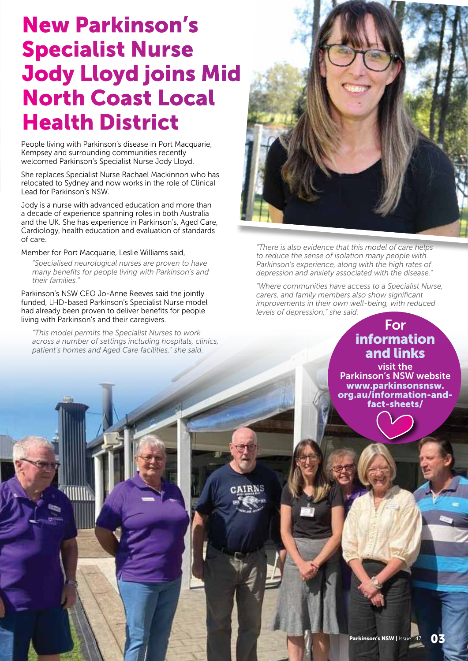# New Parkinson's Specialist Nurse Jody Lloyd joins Mid North Coast Local Health District

People living with Parkinson's disease in Port Macquarie, Kempsey and surrounding communities recently welcomed Parkinson's Specialist Nurse Jody Lloyd.

She replaces Specialist Nurse Rachael Mackinnon who has relocated to Sydney and now works in the role of Clinical Lead for Parkinson's NSW.

Jody is a nurse with advanced education and more than a decade of experience spanning roles in both Australia and the UK. She has experience in Parkinson's, Aged Care, Cardiology, health education and evaluation of standards of care.

Member for Port Macquarie, Leslie Williams said,

*"Specialised neurological nurses are proven to have many benefits for people living with Parkinson's and their families."*

Parkinson's NSW CEO Jo-Anne Reeves said the jointly funded, LHD-based Parkinson's Specialist Nurse model had already been proven to deliver benefits for people living with Parkinson's and their caregivers.

*"This model permits the Specialist Nurses to work across a number of settings including hospitals, clinics, patient's homes and Aged Care facilities," she said.* 



*"There is also evidence that this model of care helps to reduce the sense of isolation many people with Parkinson's experience, along with the high rates of depression and anxiety associated with the disease."* 

*"Where communities have access to a Specialist Nurse, carers, and family members also show significant improvements in their own well-being, with reduced levels of depression," she said.* 

#### For information and links

visit the Parkinson's NSW website www.parkinsonsnsw. org.au/information-andfact-sheets/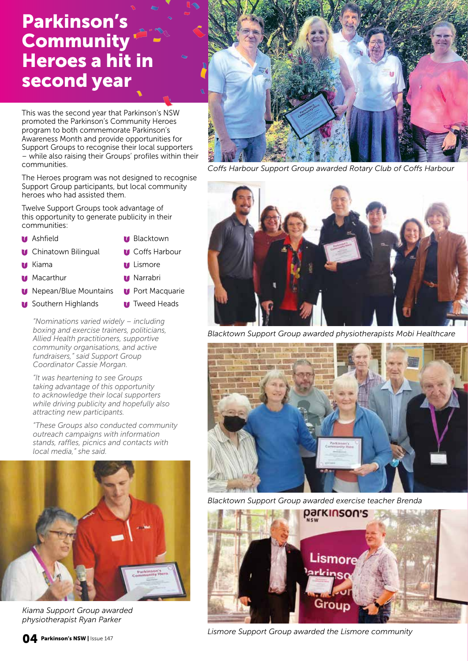#### Parkinson's **Community** Heroes a hit in second year

This was the second year that Parkinson's NSW promoted the Parkinson's Community Heroes program to both commemorate Parkinson's Awareness Month and provide opportunities for Support Groups to recognise their local supporters – while also raising their Groups' profiles within their communities.

The Heroes program was not designed to recognise Support Group participants, but local community heroes who had assisted them.

Twelve Support Groups took advantage of this opportunity to generate publicity in their communities:

- **Manufacturer Ashfield** Blacktown
	-
- **U** Chinatown Bilingual **U** Coffs Harbour
- 
- Kiama **Lismore**
- **Macarthur Macarthur Narrabri**
- **Macquarie Mountains Macquarie Port Macquarie**
- **U** Southern Highlands **U** Tweed Heads

*"Nominations varied widely – including boxing and exercise trainers, politicians, Allied Health practitioners, supportive community organisations, and active fundraisers," said Support Group Coordinator Cassie Morgan.*

*"It was heartening to see Groups taking advantage of this opportunity to acknowledge their local supporters while driving publicity and hopefully also attracting new participants.* 

*"These Groups also conducted community outreach campaigns with information stands, raffles, picnics and contacts with local media," she said.* 



*Kiama Support Group awarded physiotherapist Ryan Parker*



*Coffs Harbour Support Group awarded Rotary Club of Coffs Harbour*



*Blacktown Support Group awarded physiotherapists Mobi Healthcare*



*Blacktown Support Group awarded exercise teacher Brenda* 



*Lismore Support Group awarded the Lismore community*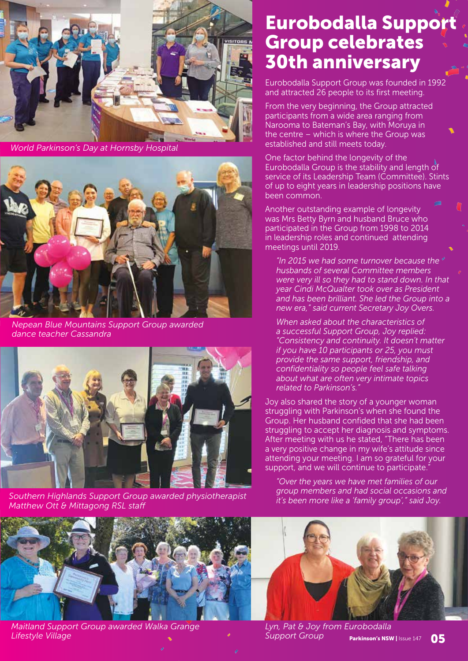

*World Parkinson's Day at Hornsby Hospital*



*Nepean Blue Mountains Support Group awarded dance teacher Cassandra*



*Southern Highlands Support Group awarded physiotherapist Matthew Ott & Mittagong RSL staff*



*Maitland Support Group awarded Walka Grange Lifestyle Village*

#### Eurobodalla Support Group celebrates 30th anniversary

Eurobodalla Support Group was founded in 1992 and attracted 26 people to its first meeting.

From the very beginning, the Group attracted participants from a wide area ranging from Narooma to Bateman's Bay, with Moruya in the centre – which is where the Group was established and still meets today.

One factor behind the longevity of the Eurobodalla Group is the stability and length of service of its Leadership Team (Committee). Stints of up to eight years in leadership positions have been common.

Another outstanding example of longevity was Mrs Betty Byrn and husband Bruce who participated in the Group from 1998 to 2014 in leadership roles and continued attending meetings until 2019.

*"In 2015 we had some turnover because the husbands of several Committee members were very ill so they had to stand down. In that year Cindi McQualter took over as President and has been brilliant. She led the Group into a new era," said current Secretary Joy Overs.*

*When asked about the characteristics of a successful Support Group, Joy replied: "Consistency and continuity. It doesn't matter if you have 10 participants or 25, you must provide the same support, friendship, and confidentiality so people feel safe talking about what are often very intimate topics related to Parkinson's.* 

Joy also shared the story of a younger woman struggling with Parkinson's when she found the Group. Her husband confided that she had been struggling to accept her diagnosis and symptoms. After meeting with us he stated, "There has been a very positive change in my wife's attitude since attending your meeting. I am so grateful for your support, and we will continue to participate.

*"Over the years we have met families of our group members and had social occasions and it's been more like a 'family group'," said Joy.* 



*Lyn, Pat & Joy from Eurobodalla Support Group*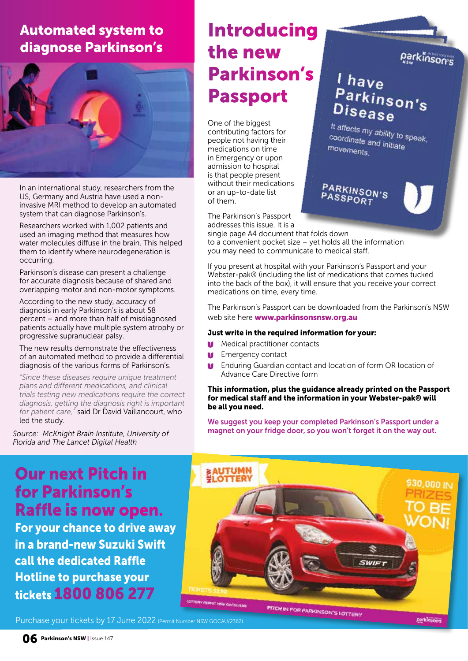Automated system to diagnose Parkinson's



In an international study, researchers from the US, Germany and Austria have used a noninvasive MRI method to develop an automated system that can diagnose Parkinson's.

Researchers worked with 1,002 patients and used an imaging method that measures how water molecules diffuse in the brain. This helped them to identify where neurodegeneration is occurring.

Parkinson's disease can present a challenge for accurate diagnosis because of shared and overlapping motor and non-motor symptoms.

According to the new study, accuracy of diagnosis in early Parkinson's is about 58 percent – and more than half of misdiagnosed patients actually have multiple system atrophy or progressive supranuclear palsy.

The new results demonstrate the effectiveness of an automated method to provide a differential diagnosis of the various forms of Parkinson's.

*"Since these diseases require unique treatment plans and different medications, and clinical trials testing new medications require the correct diagnosis, getting the diagnosis right is important for patient care,"* said Dr David Vaillancourt, who led the study.

*Source: McKnight Brain Institute, University of Florida and The Lancet Digital Health*

#### Introducing the new Parkinson's Passport

One of the biggest contributing factors for people not having their medications on time in Emergency or upon admission to hospital is that people present without their medications or an up-to-date list of them.

The Parkinson's Passport addresses this issue. It is a

single page A4 document that folds down to a convenient pocket size – yet holds all the information you may need to communicate to medical staff.

If you present at hospital with your Parkinson's Passport and your Webster-pak® (including the list of medications that comes tucked into the back of the box), it will ensure that you receive your correct medications on time, every time.

The Parkinson's Passport can be downloaded from the Parkinson's NSW web site here www.parkinsonsnsw.org.au

#### Just write in the required information for your:

- Medical practitioner contacts
- **Let** Emergency contact
- Enduring Guardian contact and location of form OR location of Advance Care Directive form

#### This information, plus the guidance already printed on the Passport for medical staff and the information in your Webster-pak® will be all you need.

We suggest you keep your completed Parkinson's Passport under a magnet on your fridge door, so you won't forget it on the way out.

#### Our next Pitch in for Parkinson's Raffle is now open.

For your chance to drive away in a brand-new Suzuki Swift call the dedicated Raffle Hotline to purchase your tickets 1800 806 277



Purchase your tickets by 17 June 2022 (Permit Number NSW GOCAU/2362)

parkinsons

parkinson's

 $l$  have

Disease

movements.

PARKINSON'S<br>PASSPORT

...ave<br>Parkinson's<br>Disess

It affects my ability to speak, coordinate and initiate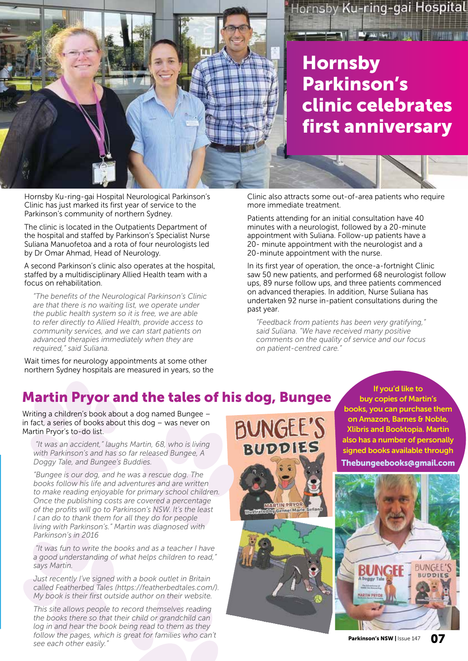

Hornsby Ku-ring-gai Hospital Neurological Parkinson's Clinic has just marked its first year of service to the Parkinson's community of northern Sydney.

The clinic is located in the Outpatients Department of the hospital and staffed by Parkinson's Specialist Nurse Suliana Manuofetoa and a rota of four neurologists led by Dr Omar Ahmad, Head of Neurology.

A second Parkinson's clinic also operates at the hospital, staffed by a multidisciplinary Allied Health team with a focus on rehabilitation.

*"The benefits of the Neurological Parkinson's Clinic are that there is no waiting list, we operate under the public health system so it is free, we are able to refer directly to Allied Health, provide access to community services, and we can start patients on advanced therapies immediately when they are required," said Suliana.*

Wait times for neurology appointments at some other northern Sydney hospitals are measured in years, so the Clinic also attracts some out-of-area patients who require more immediate treatment.

Hornsby

Parkinson's

clinic celebrates

Hornsby Ku-ring-gai Hospital

**TAN A AURAL PRODUCTS** 

first anniversary

Patients attending for an initial consultation have 40 minutes with a neurologist, followed by a 20-minute appointment with Suliana. Follow-up patients have a 20- minute appointment with the neurologist and a 20-minute appointment with the nurse.

In its first year of operation, the once-a-fortnight Clinic saw 50 new patients, and performed 68 neurologist follow ups, 89 nurse follow ups, and three patients commenced on advanced therapies. In addition, Nurse Suliana has undertaken 92 nurse in-patient consultations during the past year.

*"Feedback from patients has been very gratifying," said Suliana. "We have received many positive comments on the quality of service and our focus on patient-centred care."* 

#### Martin Pryor and the tales of his dog, Bungee

Writing a children's book about a dog named Bungee – in fact, a series of books about this dog – was never on Martin Pryor's to-do list.

 *"It was an accident," laughs Martin, 68, who is living with Parkinson's and has so far released Bungee, A Doggy Tale, and Bungee's Buddies.*

*"Bungee is our dog, and he was a rescue dog. The books follow his life and adventures and are written to make reading enjoyable for primary school children. Once the publishing costs are covered a percentage of the profits will go to Parkinson's NSW. It's the least I can do to thank them for all they do for people living with Parkinson's." Martin was diagnosed with Parkinson's in 2016*

 *"It was fun to write the books and as a teacher I have a good understanding of what helps children to read," says Martin.*

*Just recently I've signed with a book outlet in Britain called Featherbed Tales (https://featherbedtales.com/). My book is their first outside author on their website.*

*This site allows people to record themselves reading the books there so that their child or grandchild can log in and hear the book being read to them as they follow the pages, which is great for families who can't see each other easily."* Parkinson's NSW | Issue 147 07

**BUNGEE'S BUDDIES** 

If you'd like to buy copies of Martin's books, you can purchase them on Amazon, Barnes & Noble, Xlibris and Booktopia. Martin also has a number of personally signed books available through Thebungeebooks@gmail.com